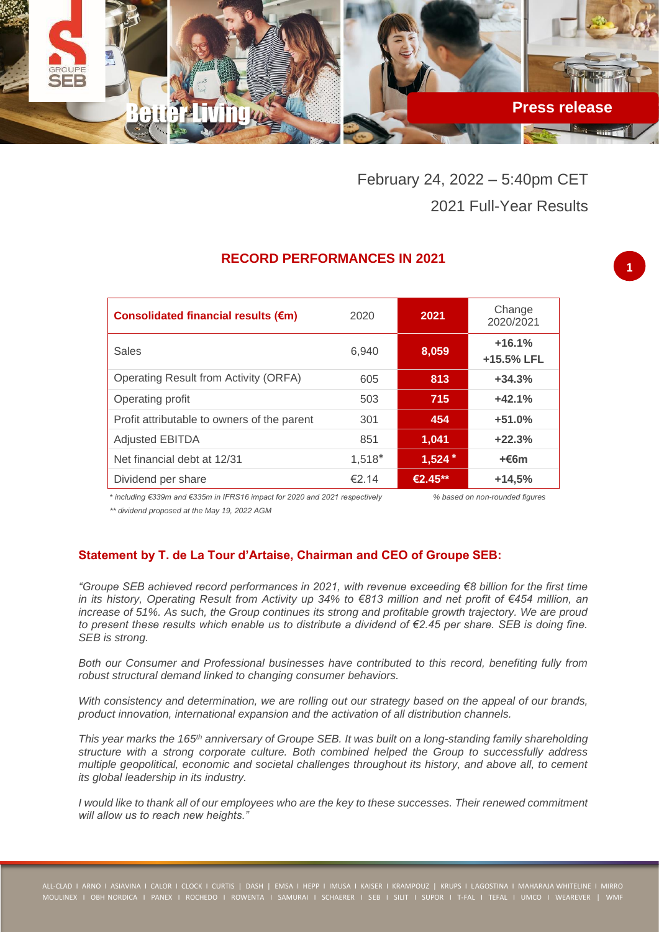

February 24, 2022 – 5:40pm CET 2021 Full-Year Results

## **RECORD PERFORMANCES IN 2021**

| Consolidated financial results (€m)         | 2020   | 2021     | Change<br>2020/2021    |
|---------------------------------------------|--------|----------|------------------------|
| Sales                                       | 6,940  | 8,059    | $+16.1%$<br>+15.5% LFL |
| Operating Result from Activity (ORFA)       | 605    | 813      | $+34.3%$               |
| Operating profit                            | 503    | 715      | $+42.1%$               |
| Profit attributable to owners of the parent | 301    | 454      | $+51.0%$               |
| <b>Adjusted EBITDA</b>                      | 851    | 1,041    | $+22.3%$               |
| Net financial debt at 12/31                 | 1,518* | $1,524*$ | $+66m$                 |
| Dividend per share                          | €2.14  | €2.45**  | $+14,5%$               |
|                                             |        |          |                        |

\* *including €339m and €335m in IFRS16 impact for 2020 and 2021 respectively % based on non-rounded figures*

*\*\* dividend proposed at the May 19, 2022 AGM*

## **Statement by T. de La Tour d'Artaise, Chairman and CEO of Groupe SEB:**

*"Groupe SEB achieved record performances in 2021, with revenue exceeding €8 billion for the first time in its history, Operating Result from Activity up 34% to €813 million and net profit of €454 million, an increase of 51%. As such, the Group continues its strong and profitable growth trajectory. We are proud to present these results which enable us to distribute a dividend of €2.45 per share. SEB is doing fine. SEB is strong.* 

*Both our Consumer and Professional businesses have contributed to this record, benefiting fully from robust structural demand linked to changing consumer behaviors.*

*With consistency and determination, we are rolling out our strategy based on the appeal of our brands, product innovation, international expansion and the activation of all distribution channels.*

*This year marks the 165th anniversary of Groupe SEB. It was built on a long-standing family shareholding structure with a strong corporate culture. Both combined helped the Group to successfully address multiple geopolitical, economic and societal challenges throughout its history, and above all, to cement its global leadership in its industry.*

*I would like to thank all of our employees who are the key to these successes. Their renewed commitment will allow us to reach new heights."*

**1**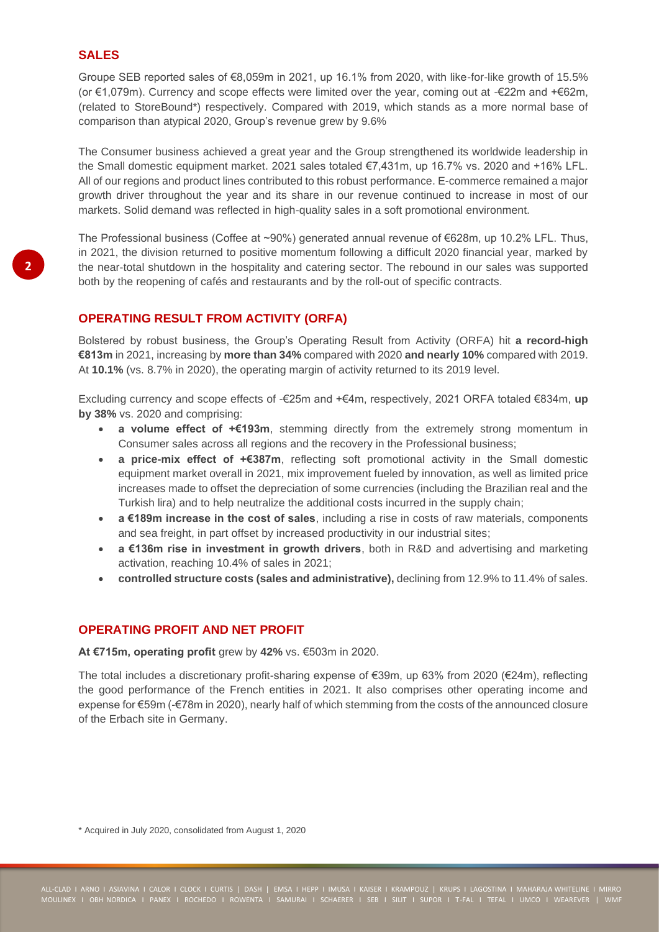## **SALES**

Groupe SEB reported sales of €8,059m in 2021, up 16.1% from 2020, with like-for-like growth of 15.5% (or €1,079m). Currency and scope effects were limited over the year, coming out at -€22m and +€62m, (related to StoreBound\*) respectively. Compared with 2019, which stands as a more normal base of comparison than atypical 2020, Group's revenue grew by 9.6%

The Consumer business achieved a great year and the Group strengthened its worldwide leadership in the Small domestic equipment market. 2021 sales totaled €7,431m, up 16.7% vs. 2020 and +16% LFL. All of our regions and product lines contributed to this robust performance. E-commerce remained a major growth driver throughout the year and its share in our revenue continued to increase in most of our markets. Solid demand was reflected in high-quality sales in a soft promotional environment.

The Professional business (Coffee at ~90%) generated annual revenue of €628m, up 10.2% LFL. Thus, in 2021, the division returned to positive momentum following a difficult 2020 financial year, marked by the near-total shutdown in the hospitality and catering sector. The rebound in our sales was supported both by the reopening of cafés and restaurants and by the roll-out of specific contracts.

## **OPERATING RESULT FROM ACTIVITY (ORFA)**

Bolstered by robust business, the Group's Operating Result from Activity (ORFA) hit **a record-high €813m** in 2021, increasing by **more than 34%** compared with 2020 **and nearly 10%** compared with 2019. At **10.1%** (vs. 8.7% in 2020), the operating margin of activity returned to its 2019 level.

Excluding currency and scope effects of -€25m and +€4m, respectively, 2021 ORFA totaled €834m, **up by 38%** vs. 2020 and comprising:

- **a volume effect of +€193m**, stemming directly from the extremely strong momentum in Consumer sales across all regions and the recovery in the Professional business;
- **a price-mix effect of +€387m**, reflecting soft promotional activity in the Small domestic equipment market overall in 2021, mix improvement fueled by innovation, as well as limited price increases made to offset the depreciation of some currencies (including the Brazilian real and the Turkish lira) and to help neutralize the additional costs incurred in the supply chain;
- **a €189m increase in the cost of sales**, including a rise in costs of raw materials, components and sea freight, in part offset by increased productivity in our industrial sites;
- **a €136m rise in investment in growth drivers**, both in R&D and advertising and marketing activation, reaching 10.4% of sales in 2021;
- **controlled structure costs (sales and administrative),** declining from 12.9% to 11.4% of sales.

## **OPERATING PROFIT AND NET PROFIT**

**At €715m, operating profit** grew by **42%** vs. €503m in 2020.

The total includes a discretionary profit-sharing expense of €39m, up 63% from 2020 (€24m), reflecting the good performance of the French entities in 2021. It also comprises other operating income and expense for €59m (-€78m in 2020), nearly half of which stemming from the costs of the announced closure of the Erbach site in Germany.

\* Acquired in July 2020, consolidated from August 1, 2020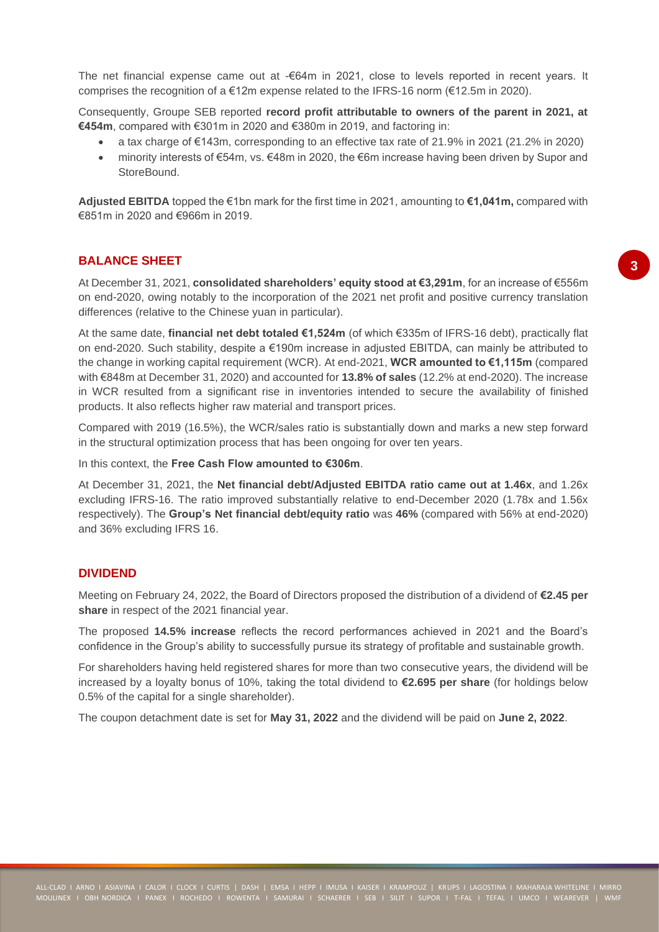The net financial expense came out at -€64m in 2021, close to levels reported in recent years. It comprises the recognition of a  $€12m$  expense related to the IFRS-16 norm ( $€12.5m$  in 2020).

Consequently, Groupe SEB reported **record profit attributable to owners of the parent in 2021, at €454m**, compared with €301m in 2020 and €380m in 2019, and factoring in:

- $\bullet$  a tax charge of €143m, corresponding to an effective tax rate of 21.9% in 2021 (21.2% in 2020)
- minority interests of €54m, vs. €48m in 2020, the €6m increase having been driven by Supor and **StoreBound**

**Adjusted EBITDA** topped the €1bn mark for the first time in 2021, amounting to **€1,041m,** compared with €851m in 2020 and €966m in 2019.

### **BALANCE SHEET**

At December 31, 2021, **consolidated shareholders' equity stood at €3,291m**, for an increase of €556m on end-2020, owing notably to the incorporation of the 2021 net profit and positive currency translation differences (relative to the Chinese yuan in particular).

At the same date, **financial net debt totaled €1,524m** (of which €335m of IFRS-16 debt), practically flat on end-2020. Such stability, despite a €190m increase in adjusted EBITDA, can mainly be attributed to the change in working capital requirement (WCR). At end-2021, **WCR amounted to €1,115m** (compared with €848m at December 31, 2020) and accounted for **13.8% of sales** (12.2% at end-2020). The increase in WCR resulted from a significant rise in inventories intended to secure the availability of finished products. It also reflects higher raw material and transport prices.

Compared with 2019 (16.5%), the WCR/sales ratio is substantially down and marks a new step forward in the structural optimization process that has been ongoing for over ten years.

In this context, the **Free Cash Flow amounted to €306m**.

At December 31, 2021, the **Net financial debt/Adjusted EBITDA ratio came out at 1.46x**, and 1.26x excluding IFRS-16. The ratio improved substantially relative to end-December 2020 (1.78x and 1.56x respectively). The **Group's Net financial debt/equity ratio** was **46%** (compared with 56% at end-2020) and 36% excluding IFRS 16.

### **DIVIDEND**

Meeting on February 24, 2022, the Board of Directors proposed the distribution of a dividend of **€2.45 per share** in respect of the 2021 financial year.

The proposed **14.5% increase** reflects the record performances achieved in 2021 and the Board's confidence in the Group's ability to successfully pursue its strategy of profitable and sustainable growth.

For shareholders having held registered shares for more than two consecutive years, the dividend will be increased by a loyalty bonus of 10%, taking the total dividend to **€2.695 per share** (for holdings below 0.5% of the capital for a single shareholder).

The coupon detachment date is set for **May 31, 2022** and the dividend will be paid on **June 2, 2022**.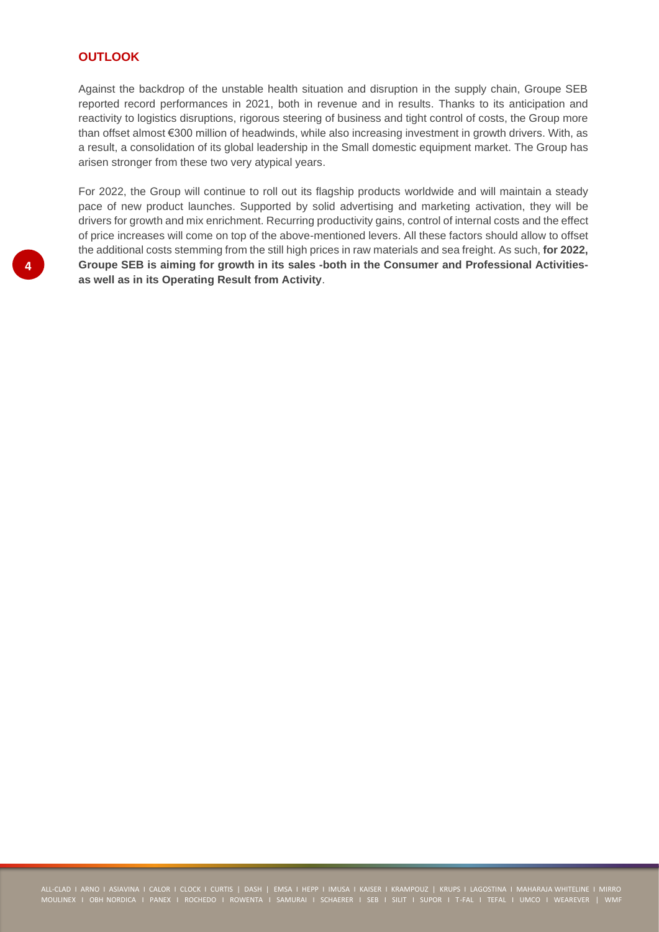### **OUTLOOK**

Against the backdrop of the unstable health situation and disruption in the supply chain, Groupe SEB reported record performances in 2021, both in revenue and in results. Thanks to its anticipation and reactivity to logistics disruptions, rigorous steering of business and tight control of costs, the Group more than offset almost €300 million of headwinds, while also increasing investment in growth drivers. With, as a result, a consolidation of its global leadership in the Small domestic equipment market. The Group has arisen stronger from these two very atypical years.

For 2022, the Group will continue to roll out its flagship products worldwide and will maintain a steady pace of new product launches. Supported by solid advertising and marketing activation, they will be drivers for growth and mix enrichment. Recurring productivity gains, control of internal costs and the effect of price increases will come on top of the above-mentioned levers. All these factors should allow to offset the additional costs stemming from the still high prices in raw materials and sea freight. As such, **for 2022, Groupe SEB is aiming for growth in its sales -both in the Consumer and Professional Activitiesas well as in its Operating Result from Activity**.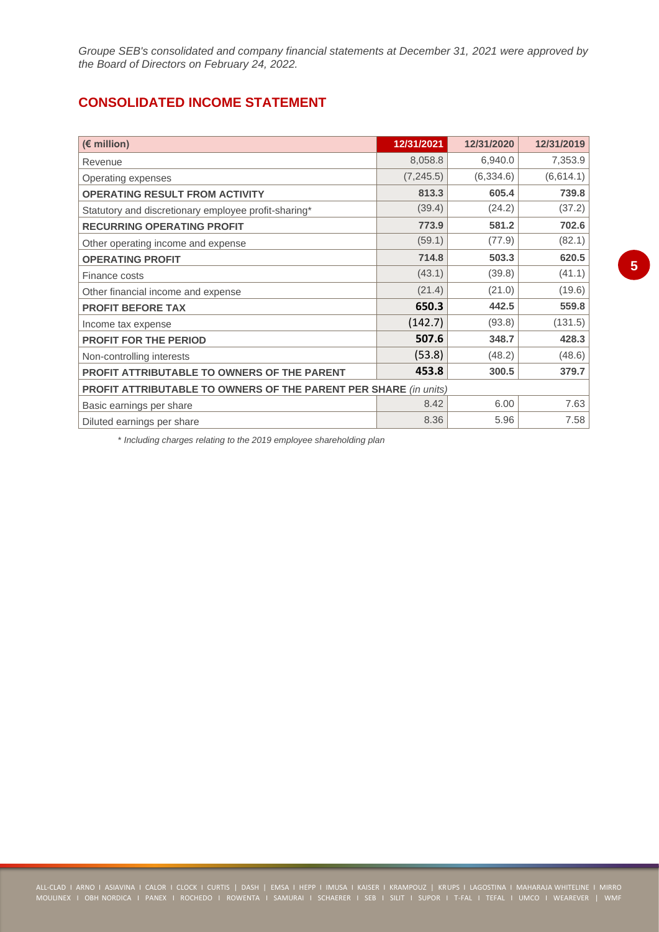*Groupe SEB's consolidated and company financial statements at December 31, 2021 were approved by the Board of Directors on February 24, 2022.*

# **CONSOLIDATED INCOME STATEMENT**

| (€ million)                                                             | 12/31/2021 | 12/31/2020 | 12/31/2019 |
|-------------------------------------------------------------------------|------------|------------|------------|
| Revenue                                                                 | 8,058.8    | 6,940.0    | 7,353.9    |
| Operating expenses                                                      | (7, 245.5) | (6, 334.6) | (6,614.1)  |
| <b>OPERATING RESULT FROM ACTIVITY</b>                                   | 813.3      | 605.4      | 739.8      |
| Statutory and discretionary employee profit-sharing*                    | (39.4)     | (24.2)     | (37.2)     |
| <b>RECURRING OPERATING PROFIT</b>                                       | 773.9      | 581.2      | 702.6      |
| Other operating income and expense                                      | (59.1)     | (77.9)     | (82.1)     |
| <b>OPERATING PROFIT</b>                                                 | 714.8      | 503.3      | 620.5      |
| Finance costs                                                           | (43.1)     | (39.8)     | (41.1)     |
| Other financial income and expense                                      | (21.4)     | (21.0)     | (19.6)     |
| <b>PROFIT BEFORE TAX</b>                                                | 650.3      | 442.5      | 559.8      |
| Income tax expense                                                      | (142.7)    | (93.8)     | (131.5)    |
| <b>PROFIT FOR THE PERIOD</b>                                            | 507.6      | 348.7      | 428.3      |
| Non-controlling interests                                               | (53.8)     | (48.2)     | (48.6)     |
| <b>PROFIT ATTRIBUTABLE TO OWNERS OF THE PARENT</b>                      | 453.8      | 300.5      | 379.7      |
| <b>PROFIT ATTRIBUTABLE TO OWNERS OF THE PARENT PER SHARE (in units)</b> |            |            |            |
| Basic earnings per share                                                | 8.42       | 6.00       | 7.63       |
| Diluted earnings per share                                              | 8.36       | 5.96       | 7.58       |

*\* Including charges relating to the 2019 employee shareholding plan*

ALL-CLAD I ARNO I ASIAVINA I CALOR I CLOCK I CURTIS | DASH | EMSA I HEPP I IMUSA I KAISER I KRAMPOUZ | KRUPS I LAGOSTINA I MAHARAJA WHITELINE I MIRRO MOULINEX I OBH NORDICA I PANEX I ROCHEDO I ROWENTA I SAMURAI I SCHAERER I SEB I SILIT I SUPOR I T-FAL I TEFAL I UMCO I WEAREVER | WMF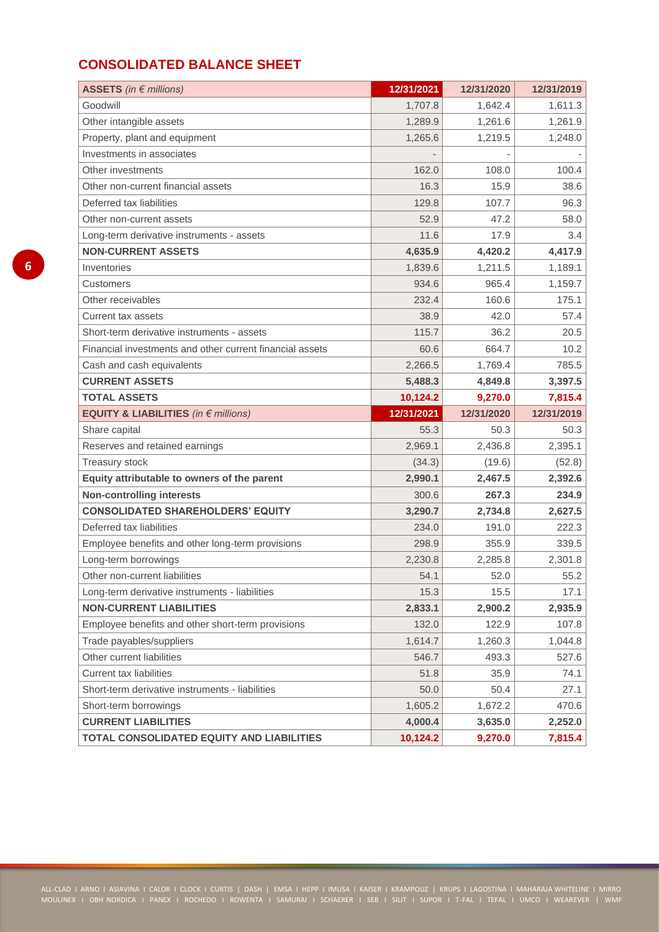# **CONSOLIDATED BALANCE SHEET**

| ASSETS (in $\in$ millions)                               | 12/31/2021 | 12/31/2020 | 12/31/2019 |
|----------------------------------------------------------|------------|------------|------------|
| Goodwill                                                 | 1,707.8    | 1,642.4    | 1,611.3    |
| Other intangible assets                                  | 1,289.9    | 1,261.6    | 1,261.9    |
| Property, plant and equipment                            | 1,265.6    | 1,219.5    | 1,248.0    |
| Investments in associates                                |            |            |            |
| Other investments                                        | 162.0      | 108.0      | 100.4      |
| Other non-current financial assets                       | 16.3       | 15.9       | 38.6       |
| Deferred tax liabilities                                 | 129.8      | 107.7      | 96.3       |
| Other non-current assets                                 | 52.9       | 47.2       | 58.0       |
| Long-term derivative instruments - assets                | 11.6       | 17.9       | 3.4        |
| <b>NON-CURRENT ASSETS</b>                                | 4,635.9    | 4,420.2    | 4,417.9    |
| Inventories                                              | 1,839.6    | 1,211.5    | 1,189.1    |
| Customers                                                | 934.6      | 965.4      | 1,159.7    |
| Other receivables                                        | 232.4      | 160.6      | 175.1      |
| Current tax assets                                       | 38.9       | 42.0       | 57.4       |
| Short-term derivative instruments - assets               | 115.7      | 36.2       | 20.5       |
| Financial investments and other current financial assets | 60.6       | 664.7      | 10.2       |
| Cash and cash equivalents                                | 2,266.5    | 1,769.4    | 785.5      |
| <b>CURRENT ASSETS</b>                                    | 5,488.3    | 4,849.8    | 3,397.5    |
| <b>TOTAL ASSETS</b>                                      | 10,124.2   | 9,270.0    | 7,815.4    |
| <b>EQUITY &amp; LIABILITIES</b> (in $\epsilon$ millions) | 12/31/2021 | 12/31/2020 | 12/31/2019 |
| Share capital                                            | 55.3       | 50.3       | 50.3       |
| Reserves and retained earnings                           | 2,969.1    | 2,436.8    | 2,395.1    |
| <b>Treasury stock</b>                                    | (34.3)     | (19.6)     | (52.8)     |
| Equity attributable to owners of the parent              | 2,990.1    | 2,467.5    | 2,392.6    |
| <b>Non-controlling interests</b>                         | 300.6      | 267.3      | 234.9      |
| <b>CONSOLIDATED SHAREHOLDERS' EQUITY</b>                 | 3,290.7    | 2,734.8    | 2,627.5    |
| Deferred tax liabilities                                 | 234.0      | 191.0      | 222.3      |
| Employee benefits and other long-term provisions         | 298.9      | 355.9      | 339.5      |
| Long-term borrowings                                     | 2,230.8    | 2,285.8    | 2,301.8    |
| Other non-current liabilities                            | 54.1       | 52.0       | 55.2       |
| Long-term derivative instruments - liabilities           | 15.3       | 15.5       | 17.1       |
| <b>NON-CURRENT LIABILITIES</b>                           | 2,833.1    | 2,900.2    | 2,935.9    |
| Employee benefits and other short-term provisions        | 132.0      | 122.9      | 107.8      |
| Trade payables/suppliers                                 | 1,614.7    | 1,260.3    | 1,044.8    |
| Other current liabilities                                | 546.7      | 493.3      | 527.6      |
| <b>Current tax liabilities</b>                           | 51.8       | 35.9       | 74.1       |
| Short-term derivative instruments - liabilities          | 50.0       | 50.4       | 27.1       |
| Short-term borrowings                                    | 1,605.2    | 1,672.2    | 470.6      |
| <b>CURRENT LIABILITIES</b>                               | 4,000.4    | 3,635.0    | 2,252.0    |
| TOTAL CONSOLIDATED EQUITY AND LIABILITIES                | 10,124.2   | 9,270.0    | 7,815.4    |

ALL-CLAD I ARNO I ASIAVINA I CALOR I CLOCK I CURTIS | DASH | EMSA I HEPP I IMUSA I KAISER I KRAMPOUZ | KRUPS I LAGOSTINA I MAHARAJA WHITELINE I MIRRO MOULINEX I OBH NORDICA I PANEX I ROCHEDO I ROWENTA I SAMURAI I SCHAERER I SEB I SILIT I SUPOR I T-FAL I TEFAL I UMCO I WEAREVER | WMF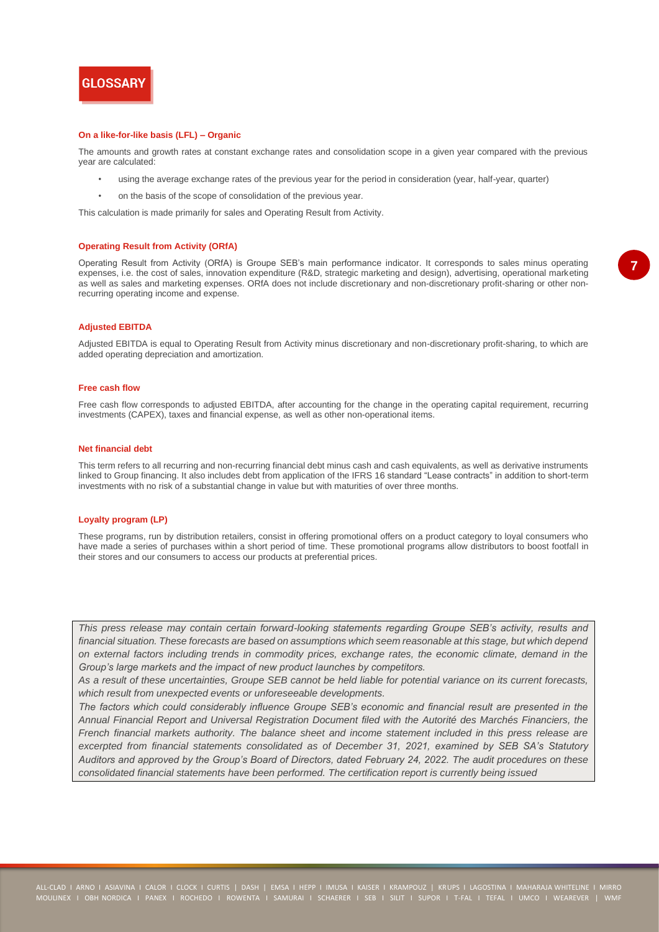

#### **On a like-for-like basis (LFL) – Organic**

The amounts and growth rates at constant exchange rates and consolidation scope in a given year compared with the previous year are calculated:

- using the average exchange rates of the previous year for the period in consideration (year, half-year, quarter)
- on the basis of the scope of consolidation of the previous year.

This calculation is made primarily for sales and Operating Result from Activity.

#### **Operating Result from Activity (ORfA)**

Operating Result from Activity (ORfA) is Groupe SEB's main performance indicator. It corresponds to sales minus operating expenses, i.e. the cost of sales, innovation expenditure (R&D, strategic marketing and design), advertising, operational marketing as well as sales and marketing expenses. ORfA does not include discretionary and non-discretionary profit-sharing or other nonrecurring operating income and expense.

### **Adjusted EBITDA**

Adjusted EBITDA is equal to Operating Result from Activity minus discretionary and non-discretionary profit-sharing, to which are added operating depreciation and amortization.

#### **Free cash flow**

Free cash flow corresponds to adjusted EBITDA, after accounting for the change in the operating capital requirement, recurring investments (CAPEX), taxes and financial expense, as well as other non-operational items.

#### **Net financial debt**

This term refers to all recurring and non-recurring financial debt minus cash and cash equivalents, as well as derivative instruments linked to Group financing. It also includes debt from application of the IFRS 16 standard "Lease contracts" in addition to short-term investments with no risk of a substantial change in value but with maturities of over three months.

#### **Loyalty program (LP)**

These programs, run by distribution retailers, consist in offering promotional offers on a product category to loyal consumers who have made a series of purchases within a short period of time. These promotional programs allow distributors to boost footfall in their stores and our consumers to access our products at preferential prices.

*This press release may contain certain forward-looking statements regarding Groupe SEB's activity, results and financial situation. These forecasts are based on assumptions which seem reasonable at this stage, but which depend on external factors including trends in commodity prices, exchange rates, the economic climate, demand in the Group's large markets and the impact of new product launches by competitors.* 

*As a result of these uncertainties, Groupe SEB cannot be held liable for potential variance on its current forecasts, which result from unexpected events or unforeseeable developments.*

*The factors which could considerably influence Groupe SEB's economic and financial result are presented in the Annual Financial Report and Universal Registration Document filed with the Autorité des Marchés Financiers, the French financial markets authority. The balance sheet and income statement included in this press release are excerpted from financial statements consolidated as of December 31, 2021, examined by SEB SA's Statutory Auditors and approved by the Group's Board of Directors, dated February 24, 2022. The audit procedures on these consolidated financial statements have been performed. The certification report is currently being issued*